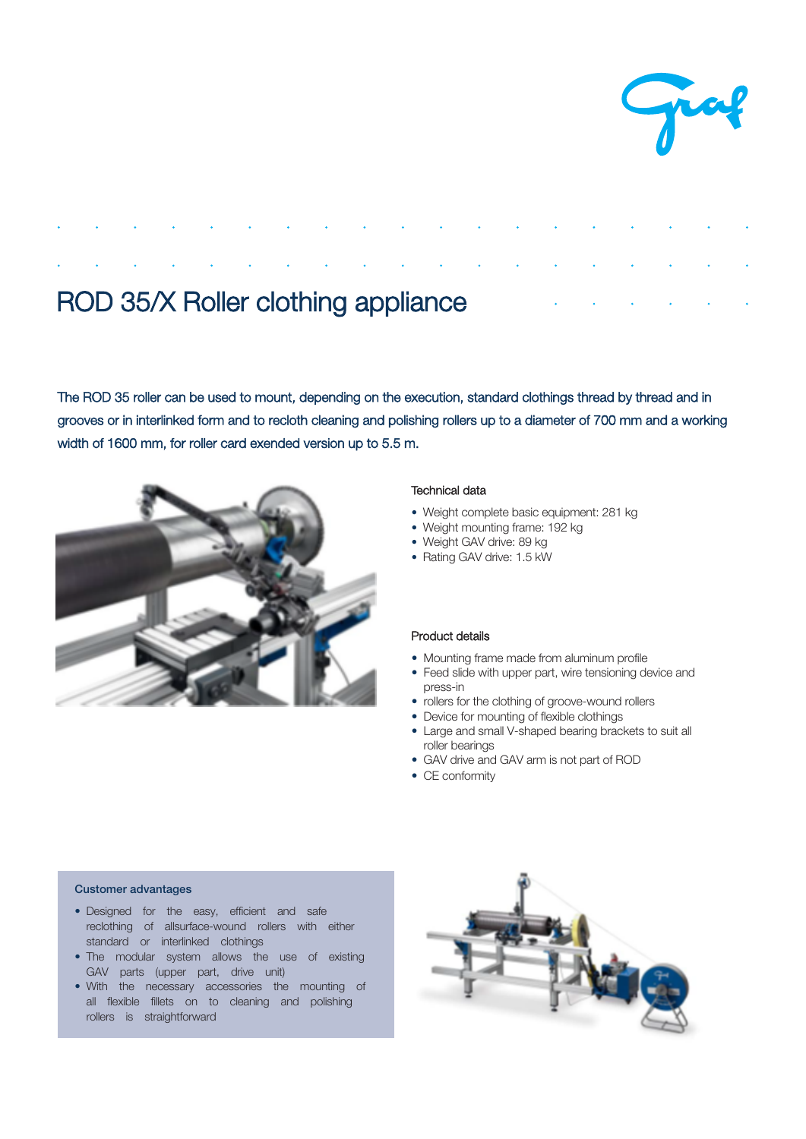

# ROD 35/X Roller clothing appliance

The ROD 35 roller can be used to mount, depending on the execution, standard clothings thread by thread and in grooves or in interlinked form and to recloth cleaning and polishing rollers up to a diameter of 700 mm and a working width of 1600 mm, for roller card exended version up to 5.5 m.



# Technical data

- Weight complete basic equipment: 281 kg
- Weight mounting frame: 192 kg
- Weight GAV drive: 89 kg
- Rating GAV drive: 1.5 kW

# Product details

- Mounting frame made from aluminum profile
- Feed slide with upper part, wire tensioning device and press-in
- rollers for the clothing of groove-wound rollers
- Device for mounting of flexible clothing
- Large and small V-shaped bearing brackets to suit all roller bearings
- GAV drive and GAV arm is not part of ROD
- CE conformity

### Customer advantages

- Designed for the easy, efficient and safe reclothing of allsurface-wound rollers with either standard or interlinked clothing
- The modular system allows the use of existing GAV parts (upper part, drive unit)
- With the necessary accessories the mounting of all flexible fillets on to cleaning and polishing rollers is straightforward